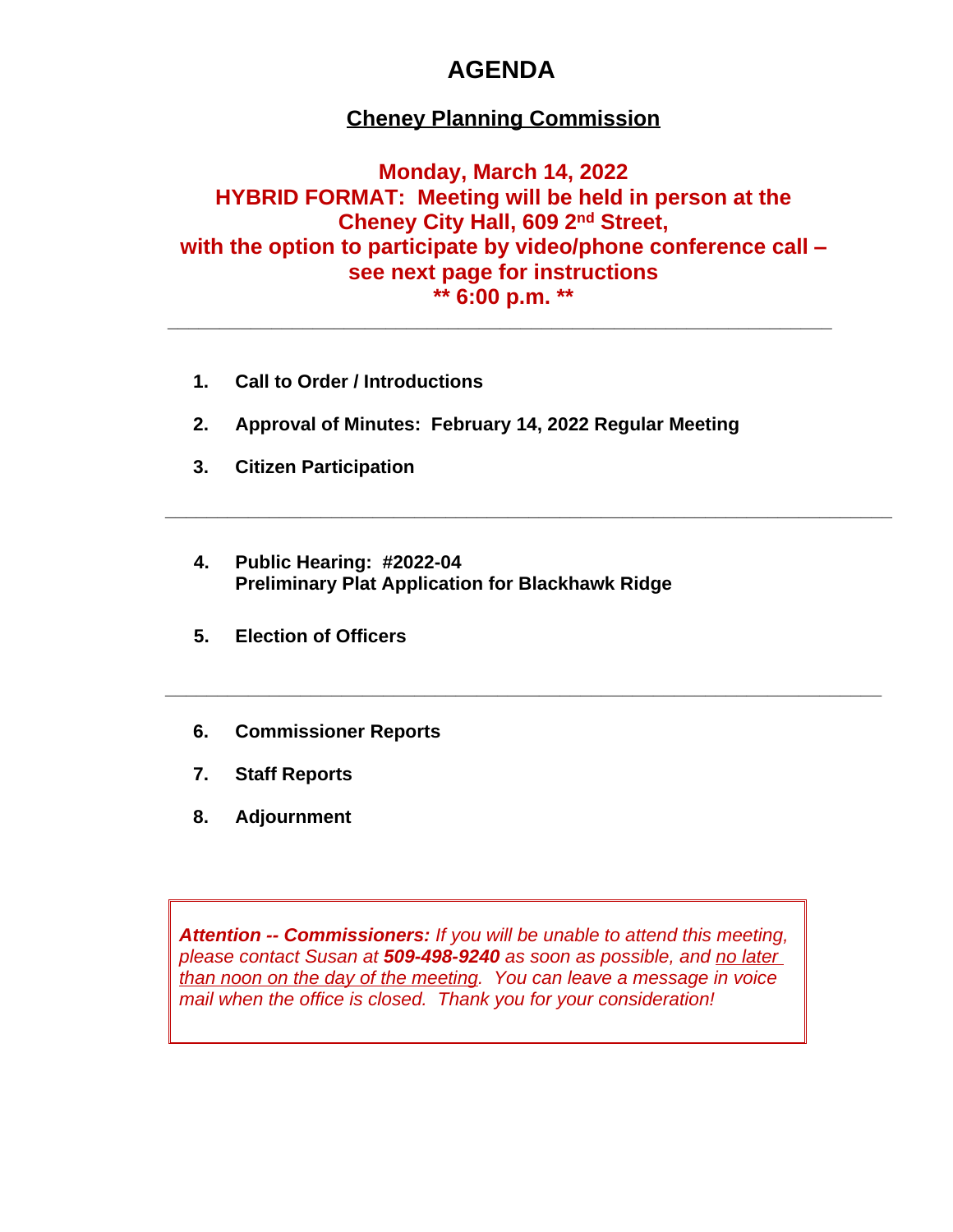## **AGENDA**

## **Cheney Planning Commission**

### **Monday, March 14, 2022 HYBRID FORMAT: Meeting will be held in person at the Cheney City Hall, 609 2nd Street, with the option to participate by video/phone conference call – see next page for instructions \*\* 6:00 p.m. \*\***

**\_\_\_\_\_\_\_\_\_\_\_\_\_\_\_\_\_\_\_\_\_\_\_\_\_\_\_\_\_\_\_\_\_\_\_\_\_\_\_\_\_\_\_\_\_\_\_\_\_\_\_\_\_\_\_\_\_\_\_\_\_\_\_\_**

**\_\_\_\_\_\_\_\_\_\_\_\_\_\_\_\_\_\_\_\_\_\_\_\_\_\_\_\_\_\_\_\_\_\_\_\_\_\_\_\_\_\_\_\_\_\_\_\_\_\_\_\_\_\_\_\_\_\_\_\_\_\_\_\_\_\_\_\_\_\_**

**\_\_\_\_\_\_\_\_\_\_\_\_\_\_\_\_\_\_\_\_\_\_\_\_\_\_\_\_\_\_\_\_\_\_\_\_\_\_\_\_\_\_\_\_\_\_\_\_\_\_\_\_\_\_\_\_\_\_\_\_\_\_\_\_\_\_\_\_\_**

- **1. Call to Order / Introductions**
- **2. Approval of Minutes: February 14, 2022 Regular Meeting**
- **3. Citizen Participation**
- **4. Public Hearing: #2022-04 Preliminary Plat Application for Blackhawk Ridge**
- **5. Election of Officers**
- **6. Commissioner Reports**
- **7. Staff Reports**
- **8. Adjournment**

*Attention -- Commissioners: If you will be unable to attend this meeting, please contact Susan at 509-498-9240 as soon as possible, and no later than noon on the day of the meeting. You can leave a message in voice mail when the office is closed. Thank you for your consideration!*